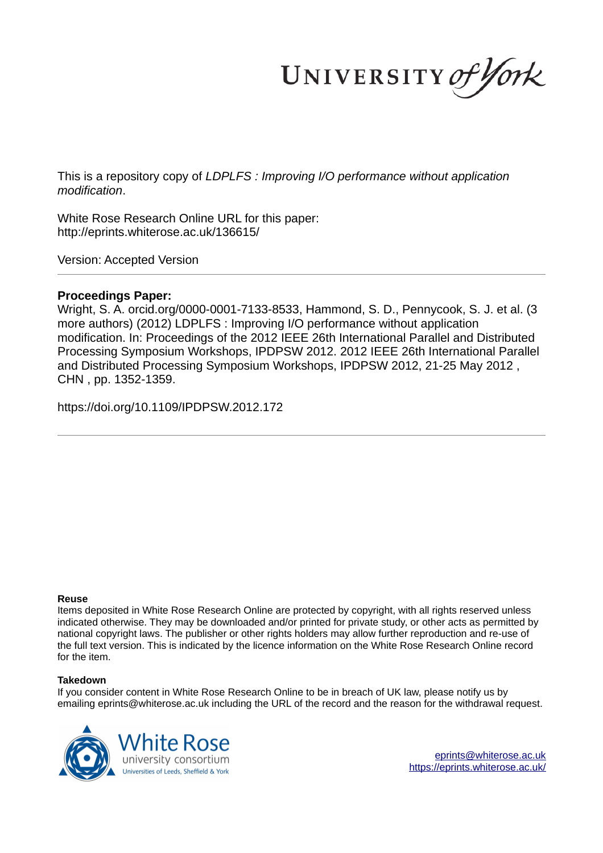UNIVERSITY of York

This is a repository copy of *LDPLFS : Improving I/O performance without application modification*.

White Rose Research Online URL for this paper: http://eprints.whiterose.ac.uk/136615/

Version: Accepted Version

# **Proceedings Paper:**

Wright, S. A. orcid.org/0000-0001-7133-8533, Hammond, S. D., Pennycook, S. J. et al. (3 more authors) (2012) LDPLFS : Improving I/O performance without application modification. In: Proceedings of the 2012 IEEE 26th International Parallel and Distributed Processing Symposium Workshops, IPDPSW 2012. 2012 IEEE 26th International Parallel and Distributed Processing Symposium Workshops, IPDPSW 2012, 21-25 May 2012 , CHN , pp. 1352-1359.

https://doi.org/10.1109/IPDPSW.2012.172

# **Reuse**

Items deposited in White Rose Research Online are protected by copyright, with all rights reserved unless indicated otherwise. They may be downloaded and/or printed for private study, or other acts as permitted by national copyright laws. The publisher or other rights holders may allow further reproduction and re-use of the full text version. This is indicated by the licence information on the White Rose Research Online record for the item.

# **Takedown**

If you consider content in White Rose Research Online to be in breach of UK law, please notify us by emailing eprints@whiterose.ac.uk including the URL of the record and the reason for the withdrawal request.



eprints@whiterose.ac.uk https://eprints.whiterose.ac.uk/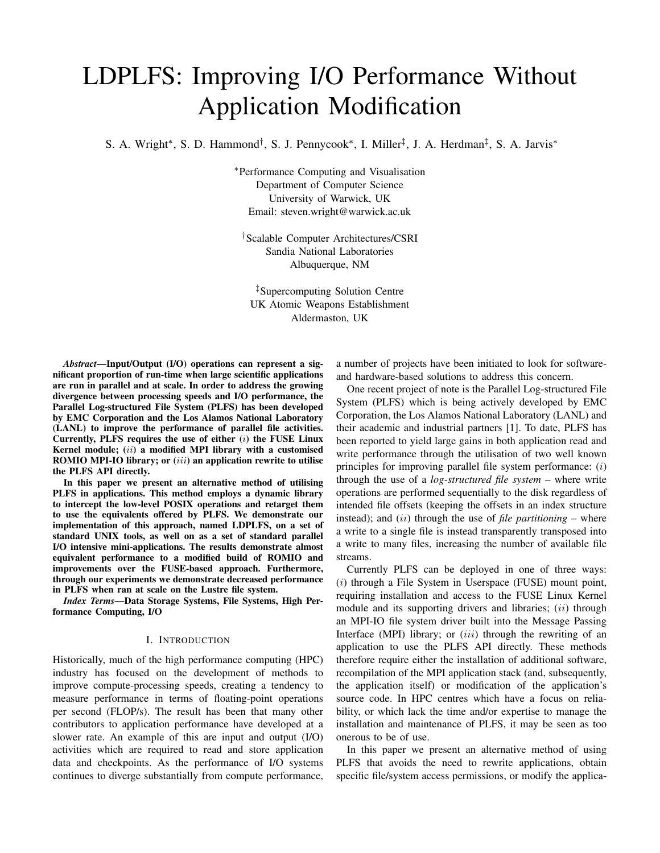# LDPLFS: Improving I/O Performance Without Application Modification

S. A. Wright<sup>\*</sup>, S. D. Hammond<sup>†</sup>, S. J. Pennycook<sup>\*</sup>, I. Miller<sup>‡</sup>, J. A. Herdman<sup>‡</sup>, S. A. Jarvis<sup>\*</sup>

<sup>∗</sup>Performance Computing and Visualisation Department of Computer Science University of Warwick, UK Email: steven.wright@warwick.ac.uk

†Scalable Computer Architectures/CSRI Sandia National Laboratories Albuquerque, NM

‡Supercomputing Solution Centre UK Atomic Weapons Establishment Aldermaston, UK

*Abstract*—Input/Output (I/O) operations can represent a significant proportion of run-time when large scientific applications are run in parallel and at scale. In order to address the growing divergence between processing speeds and I/O performance, the Parallel Log-structured File System (PLFS) has been developed by EMC Corporation and the Los Alamos National Laboratory (LANL) to improve the performance of parallel file activities. Currently, PLFS requires the use of either  $(i)$  the FUSE Linux Kernel module; (ii) a modified MPI library with a customised ROMIO MPI-IO library; or (iii) an application rewrite to utilise the PLFS API directly.

In this paper we present an alternative method of utilising PLFS in applications. This method employs a dynamic library to intercept the low-level POSIX operations and retarget them to use the equivalents offered by PLFS. We demonstrate our implementation of this approach, named LDPLFS, on a set of standard UNIX tools, as well on as a set of standard parallel I/O intensive mini-applications. The results demonstrate almost equivalent performance to a modified build of ROMIO and improvements over the FUSE-based approach. Furthermore, through our experiments we demonstrate decreased performance in PLFS when ran at scale on the Lustre file system.

*Index Terms*—Data Storage Systems, File Systems, High Performance Computing, I/O

## I. INTRODUCTION

Historically, much of the high performance computing (HPC) industry has focused on the development of methods to improve compute-processing speeds, creating a tendency to measure performance in terms of floating-point operations per second (FLOP/s). The result has been that many other contributors to application performance have developed at a slower rate. An example of this are input and output (I/O) activities which are required to read and store application data and checkpoints. As the performance of I/O systems continues to diverge substantially from compute performance, a number of projects have been initiated to look for softwareand hardware-based solutions to address this concern.

One recent project of note is the Parallel Log-structured File System (PLFS) which is being actively developed by EMC Corporation, the Los Alamos National Laboratory (LANL) and their academic and industrial partners [1]. To date, PLFS has been reported to yield large gains in both application read and write performance through the utilisation of two well known principles for improving parallel file system performance: (i) through the use of a *log-structured file system* – where write operations are performed sequentially to the disk regardless of intended file offsets (keeping the offsets in an index structure instead); and  $(ii)$  through the use of *file partitioning* – where a write to a single file is instead transparently transposed into a write to many files, increasing the number of available file streams.

Currently PLFS can be deployed in one of three ways:  $(i)$  through a File System in Userspace (FUSE) mount point, requiring installation and access to the FUSE Linux Kernel module and its supporting drivers and libraries;  $(ii)$  through an MPI-IO file system driver built into the Message Passing Interface (MPI) library; or  $(iii)$  through the rewriting of an application to use the PLFS API directly. These methods therefore require either the installation of additional software, recompilation of the MPI application stack (and, subsequently, the application itself) or modification of the application's source code. In HPC centres which have a focus on reliability, or which lack the time and/or expertise to manage the installation and maintenance of PLFS, it may be seen as too onerous to be of use.

In this paper we present an alternative method of using PLFS that avoids the need to rewrite applications, obtain specific file/system access permissions, or modify the applica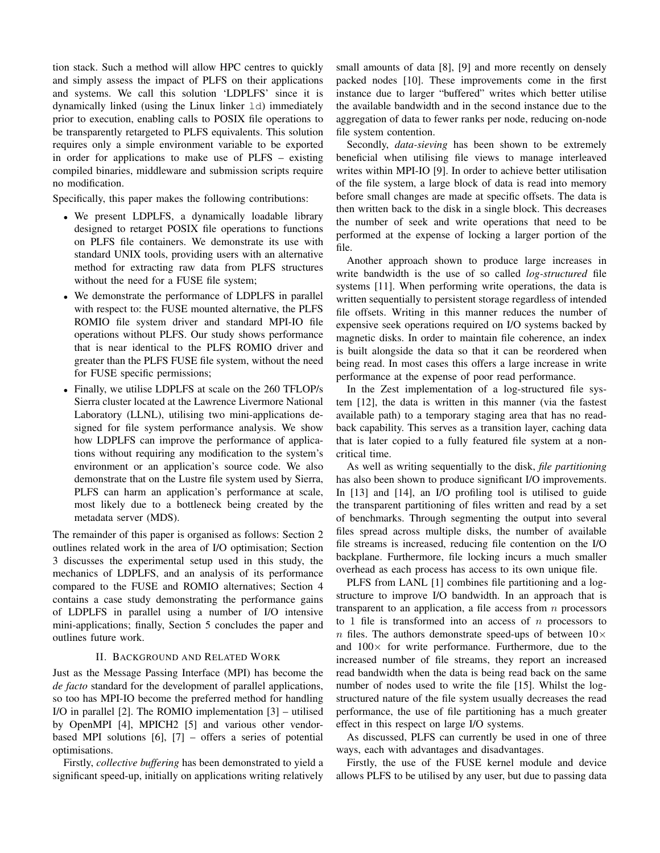tion stack. Such a method will allow HPC centres to quickly and simply assess the impact of PLFS on their applications and systems. We call this solution 'LDPLFS' since it is dynamically linked (using the Linux linker 1d) immediately prior to execution, enabling calls to POSIX file operations to be transparently retargeted to PLFS equivalents. This solution requires only a simple environment variable to be exported in order for applications to make use of PLFS – existing compiled binaries, middleware and submission scripts require no modification.

Specifically, this paper makes the following contributions:

- We present LDPLFS, a dynamically loadable library designed to retarget POSIX file operations to functions on PLFS file containers. We demonstrate its use with standard UNIX tools, providing users with an alternative method for extracting raw data from PLFS structures without the need for a FUSE file system;
- We demonstrate the performance of LDPLFS in parallel with respect to: the FUSE mounted alternative, the PLFS ROMIO file system driver and standard MPI-IO file operations without PLFS. Our study shows performance that is near identical to the PLFS ROMIO driver and greater than the PLFS FUSE file system, without the need for FUSE specific permissions;
- Finally, we utilise LDPLFS at scale on the 260 TFLOP/s Sierra cluster located at the Lawrence Livermore National Laboratory (LLNL), utilising two mini-applications designed for file system performance analysis. We show how LDPLFS can improve the performance of applications without requiring any modification to the system's environment or an application's source code. We also demonstrate that on the Lustre file system used by Sierra, PLFS can harm an application's performance at scale, most likely due to a bottleneck being created by the metadata server (MDS).

The remainder of this paper is organised as follows: Section 2 outlines related work in the area of I/O optimisation; Section 3 discusses the experimental setup used in this study, the mechanics of LDPLFS, and an analysis of its performance compared to the FUSE and ROMIO alternatives; Section 4 contains a case study demonstrating the performance gains of LDPLFS in parallel using a number of I/O intensive mini-applications; finally, Section 5 concludes the paper and outlines future work.

### II. BACKGROUND AND RELATED WORK

Just as the Message Passing Interface (MPI) has become the *de facto* standard for the development of parallel applications, so too has MPI-IO become the preferred method for handling I/O in parallel [2]. The ROMIO implementation [3] – utilised by OpenMPI [4], MPICH2 [5] and various other vendorbased MPI solutions [6], [7] – offers a series of potential optimisations.

Firstly, *collective buffering* has been demonstrated to yield a significant speed-up, initially on applications writing relatively small amounts of data [8], [9] and more recently on densely packed nodes [10]. These improvements come in the first instance due to larger "buffered" writes which better utilise the available bandwidth and in the second instance due to the aggregation of data to fewer ranks per node, reducing on-node file system contention.

Secondly, *data-sieving* has been shown to be extremely beneficial when utilising file views to manage interleaved writes within MPI-IO [9]. In order to achieve better utilisation of the file system, a large block of data is read into memory before small changes are made at specific offsets. The data is then written back to the disk in a single block. This decreases the number of seek and write operations that need to be performed at the expense of locking a larger portion of the file.

Another approach shown to produce large increases in write bandwidth is the use of so called *log-structured* file systems [11]. When performing write operations, the data is written sequentially to persistent storage regardless of intended file offsets. Writing in this manner reduces the number of expensive seek operations required on I/O systems backed by magnetic disks. In order to maintain file coherence, an index is built alongside the data so that it can be reordered when being read. In most cases this offers a large increase in write performance at the expense of poor read performance.

In the Zest implementation of a log-structured file system [12], the data is written in this manner (via the fastest available path) to a temporary staging area that has no readback capability. This serves as a transition layer, caching data that is later copied to a fully featured file system at a noncritical time.

As well as writing sequentially to the disk, *file partitioning* has also been shown to produce significant I/O improvements. In [13] and [14], an I/O profiling tool is utilised to guide the transparent partitioning of files written and read by a set of benchmarks. Through segmenting the output into several files spread across multiple disks, the number of available file streams is increased, reducing file contention on the I/O backplane. Furthermore, file locking incurs a much smaller overhead as each process has access to its own unique file.

PLFS from LANL [1] combines file partitioning and a logstructure to improve I/O bandwidth. In an approach that is transparent to an application, a file access from  $n$  processors to 1 file is transformed into an access of  $n$  processors to n files. The authors demonstrate speed-ups of between  $10\times$ and  $100\times$  for write performance. Furthermore, due to the increased number of file streams, they report an increased read bandwidth when the data is being read back on the same number of nodes used to write the file [15]. Whilst the logstructured nature of the file system usually decreases the read performance, the use of file partitioning has a much greater effect in this respect on large I/O systems.

As discussed, PLFS can currently be used in one of three ways, each with advantages and disadvantages.

Firstly, the use of the FUSE kernel module and device allows PLFS to be utilised by any user, but due to passing data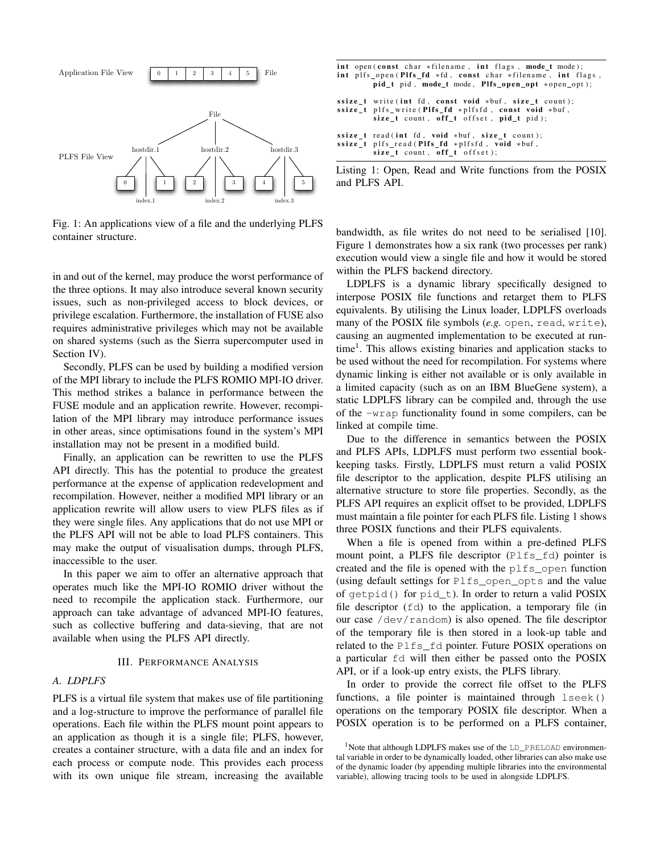

Fig. 1: An applications view of a file and the underlying PLFS container structure.

in and out of the kernel, may produce the worst performance of the three options. It may also introduce several known security issues, such as non-privileged access to block devices, or privilege escalation. Furthermore, the installation of FUSE also requires administrative privileges which may not be available on shared systems (such as the Sierra supercomputer used in Section IV).

Secondly, PLFS can be used by building a modified version of the MPI library to include the PLFS ROMIO MPI-IO driver. This method strikes a balance in performance between the FUSE module and an application rewrite. However, recompilation of the MPI library may introduce performance issues in other areas, since optimisations found in the system's MPI installation may not be present in a modified build.

Finally, an application can be rewritten to use the PLFS API directly. This has the potential to produce the greatest performance at the expense of application redevelopment and recompilation. However, neither a modified MPI library or an application rewrite will allow users to view PLFS files as if they were single files. Any applications that do not use MPI or the PLFS API will not be able to load PLFS containers. This may make the output of visualisation dumps, through PLFS, inaccessible to the user.

In this paper we aim to offer an alternative approach that operates much like the MPI-IO ROMIO driver without the need to recompile the application stack. Furthermore, our approach can take advantage of advanced MPI-IO features, such as collective buffering and data-sieving, that are not available when using the PLFS API directly.

#### III. PERFORMANCE ANALYSIS

#### *A. LDPLFS*

PLFS is a virtual file system that makes use of file partitioning and a log-structure to improve the performance of parallel file operations. Each file within the PLFS mount point appears to an application as though it is a single file; PLFS, however, creates a container structure, with a data file and an index for each process or compute node. This provides each process with its own unique file stream, increasing the available

int open ( const char \*filename, int flags, mode\_t mode); int plfs\_open (Plfs\_fd \*fd, const char \*filename, int flags, pid\_t pid, mode\_t mode, Plfs\_open\_opt \*open\_opt);

ssize\_t write (int fd, const void \*buf, size\_t count); ssize\_t plfs\_write (Plfs\_fd \*plfsfd, const void \*buf, size\_t count, off\_t offset, pid\_t pid);

ssize\_t read (int fd, void \*buf, size\_t count); ssize\_t plfs\_read (Plfs\_fd \*plfsfd, void \*buf,  $size_t$  count,  $off_t$  offset);

Listing 1: Open, Read and Write functions from the POSIX and PLFS API.

bandwidth, as file writes do not need to be serialised [10]. Figure 1 demonstrates how a six rank (two processes per rank) execution would view a single file and how it would be stored within the PLFS backend directory.

LDPLFS is a dynamic library specifically designed to interpose POSIX file functions and retarget them to PLFS equivalents. By utilising the Linux loader, LDPLFS overloads many of the POSIX file symbols (*e.g.* open, read, write), causing an augmented implementation to be executed at runtime<sup>1</sup>. This allows existing binaries and application stacks to be used without the need for recompilation. For systems where dynamic linking is either not available or is only available in a limited capacity (such as on an IBM BlueGene system), a static LDPLFS library can be compiled and, through the use of the -wrap functionality found in some compilers, can be linked at compile time.

Due to the difference in semantics between the POSIX and PLFS APIs, LDPLFS must perform two essential bookkeeping tasks. Firstly, LDPLFS must return a valid POSIX file descriptor to the application, despite PLFS utilising an alternative structure to store file properties. Secondly, as the PLFS API requires an explicit offset to be provided, LDPLFS must maintain a file pointer for each PLFS file. Listing 1 shows three POSIX functions and their PLFS equivalents.

When a file is opened from within a pre-defined PLFS mount point, a PLFS file descriptor (Plfs\_fd) pointer is created and the file is opened with the plfs\_open function (using default settings for Plfs\_open\_opts and the value of getpid() for pid\_t). In order to return a valid POSIX file descriptor (fd) to the application, a temporary file (in our case /dev/random) is also opened. The file descriptor of the temporary file is then stored in a look-up table and related to the Plfs\_fd pointer. Future POSIX operations on a particular fd will then either be passed onto the POSIX API, or if a look-up entry exists, the PLFS library.

In order to provide the correct file offset to the PLFS functions, a file pointer is maintained through lseek() operations on the temporary POSIX file descriptor. When a POSIX operation is to be performed on a PLFS container,

<sup>&</sup>lt;sup>1</sup>Note that although LDPLFS makes use of the LD\_PRELOAD environmental variable in order to be dynamically loaded, other libraries can also make use of the dynamic loader (by appending multiple libraries into the environmental variable), allowing tracing tools to be used in alongside LDPLFS.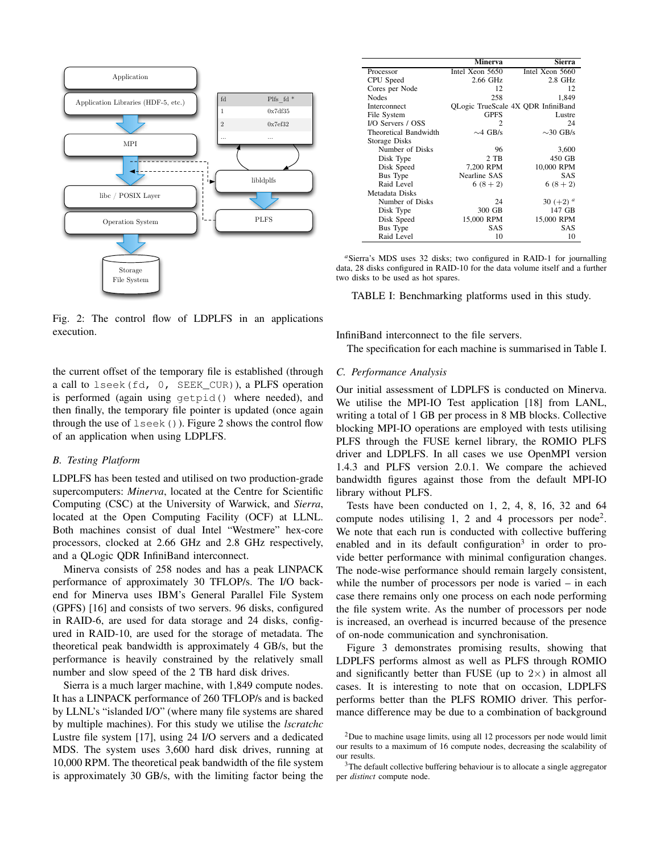

Fig. 2: The control flow of LDPLFS in an applications execution.

the current offset of the temporary file is established (through a call to lseek(fd, 0, SEEK\_CUR)), a PLFS operation is performed (again using getpid() where needed), and then finally, the temporary file pointer is updated (once again through the use of  $l$  seek()). Figure 2 shows the control flow of an application when using LDPLFS.

### *B. Testing Platform*

LDPLFS has been tested and utilised on two production-grade supercomputers: *Minerva*, located at the Centre for Scientific Computing (CSC) at the University of Warwick, and *Sierra*, located at the Open Computing Facility (OCF) at LLNL. Both machines consist of dual Intel "Westmere" hex-core processors, clocked at 2.66 GHz and 2.8 GHz respectively, and a QLogic QDR InfiniBand interconnect.

Minerva consists of 258 nodes and has a peak LINPACK performance of approximately 30 TFLOP/s. The I/O backend for Minerva uses IBM's General Parallel File System (GPFS) [16] and consists of two servers. 96 disks, configured in RAID-6, are used for data storage and 24 disks, configured in RAID-10, are used for the storage of metadata. The theoretical peak bandwidth is approximately 4 GB/s, but the performance is heavily constrained by the relatively small number and slow speed of the 2 TB hard disk drives.

Sierra is a much larger machine, with 1,849 compute nodes. It has a LINPACK performance of 260 TFLOP/s and is backed by LLNL's "islanded I/O" (where many file systems are shared by multiple machines). For this study we utilise the *lscratchc* Lustre file system [17], using 24 I/O servers and a dedicated MDS. The system uses 3,600 hard disk drives, running at 10,000 RPM. The theoretical peak bandwidth of the file system is approximately 30 GB/s, with the limiting factor being the

|                       | <b>Minerva</b>                     | <b>Sierra</b>   |
|-----------------------|------------------------------------|-----------------|
| Processor             | Intel Xeon 5650                    | Intel Xeon 5660 |
| CPU Speed             | 2.66 GHz                           | $2.8$ GHz       |
| Cores per Node        | 12                                 | 12              |
| Nodes                 | 258                                | 1,849           |
| Interconnect          | QLogic TrueScale 4X QDR InfiniBand |                 |
| File System           | <b>GPFS</b>                        | Lustre          |
| I/O Servers / OSS     | 2                                  | 24              |
| Theoretical Bandwidth | $\sim$ 4 GB/s                      | $\sim$ 30 GB/s  |
| Storage Disks         |                                    |                 |
| Number of Disks       | 96                                 | 3,600           |
| Disk Type             | 2 TB                               | 450 GB          |
| Disk Speed            | 7,200 RPM                          | 10,000 RPM      |
| <b>Bus Type</b>       | Nearline SAS                       | <b>SAS</b>      |
| Raid Level            | $6(8+2)$                           | $6(8+2)$        |
| Metadata Disks        |                                    |                 |
| Number of Disks       | 24                                 | 30 $(+2)^{a}$   |
| Disk Type             | 300 GB                             | 147 GB          |
| Disk Speed            | 15,000 RPM                         | 15,000 RPM      |
| <b>Bus</b> Type       | <b>SAS</b>                         | SAS             |
| Raid Level            | 10                                 | 10              |

*<sup>a</sup>*Sierra's MDS uses 32 disks; two configured in RAID-1 for journalling data, 28 disks configured in RAID-10 for the data volume itself and a further two disks to be used as hot spares.

TABLE I: Benchmarking platforms used in this study.

InfiniBand interconnect to the file servers.

The specification for each machine is summarised in Table I.

#### *C. Performance Analysis*

Our initial assessment of LDPLFS is conducted on Minerva. We utilise the MPI-IO Test application [18] from LANL, writing a total of 1 GB per process in 8 MB blocks. Collective blocking MPI-IO operations are employed with tests utilising PLFS through the FUSE kernel library, the ROMIO PLFS driver and LDPLFS. In all cases we use OpenMPI version 1.4.3 and PLFS version 2.0.1. We compare the achieved bandwidth figures against those from the default MPI-IO library without PLFS.

Tests have been conducted on 1, 2, 4, 8, 16, 32 and 64 compute nodes utilising 1, 2 and 4 processors per node<sup>2</sup>. We note that each run is conducted with collective buffering enabled and in its default configuration<sup>3</sup> in order to provide better performance with minimal configuration changes. The node-wise performance should remain largely consistent, while the number of processors per node is varied – in each case there remains only one process on each node performing the file system write. As the number of processors per node is increased, an overhead is incurred because of the presence of on-node communication and synchronisation.

Figure 3 demonstrates promising results, showing that LDPLFS performs almost as well as PLFS through ROMIO and significantly better than FUSE (up to  $2\times$ ) in almost all cases. It is interesting to note that on occasion, LDPLFS performs better than the PLFS ROMIO driver. This performance difference may be due to a combination of background

<sup>2</sup>Due to machine usage limits, using all 12 processors per node would limit our results to a maximum of 16 compute nodes, decreasing the scalability of our results.

<sup>&</sup>lt;sup>3</sup>The default collective buffering behaviour is to allocate a single aggregator per *distinct* compute node.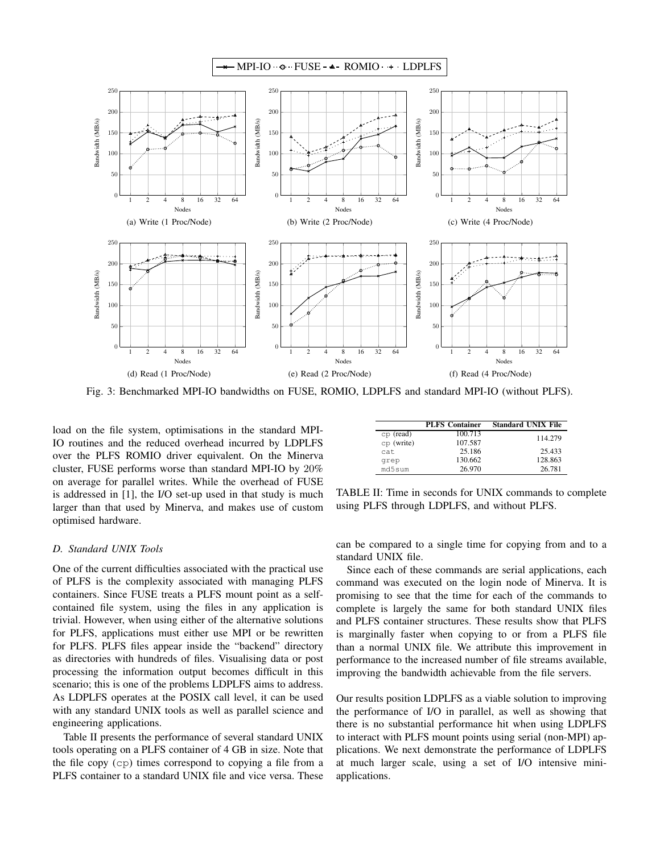

Fig. 3: Benchmarked MPI-IO bandwidths on FUSE, ROMIO, LDPLFS and standard MPI-IO (without PLFS).

load on the file system, optimisations in the standard MPI-IO routines and the reduced overhead incurred by LDPLFS over the PLFS ROMIO driver equivalent. On the Minerva cluster, FUSE performs worse than standard MPI-IO by 20% on average for parallel writes. While the overhead of FUSE is addressed in [1], the I/O set-up used in that study is much larger than that used by Minerva, and makes use of custom optimised hardware.

|             | <b>PLFS</b> Container | <b>Standard UNIX File</b> |
|-------------|-----------------------|---------------------------|
| $cp$ (read) | 100.713               | 114.279                   |
| cp (write)  | 107.587               |                           |
| cat         | 25.186                | 25.433                    |
| grep        | 130.662               | 128.863                   |
| md5sum      | 26.970                | 26.781                    |

TABLE II: Time in seconds for UNIX commands to complete using PLFS through LDPLFS, and without PLFS.

#### *D. Standard UNIX Tools*

One of the current difficulties associated with the practical use of PLFS is the complexity associated with managing PLFS containers. Since FUSE treats a PLFS mount point as a selfcontained file system, using the files in any application is trivial. However, when using either of the alternative solutions for PLFS, applications must either use MPI or be rewritten for PLFS. PLFS files appear inside the "backend" directory as directories with hundreds of files. Visualising data or post processing the information output becomes difficult in this scenario; this is one of the problems LDPLFS aims to address. As LDPLFS operates at the POSIX call level, it can be used with any standard UNIX tools as well as parallel science and engineering applications.

Table II presents the performance of several standard UNIX tools operating on a PLFS container of 4 GB in size. Note that the file copy (cp) times correspond to copying a file from a PLFS container to a standard UNIX file and vice versa. These can be compared to a single time for copying from and to a standard UNIX file.

Since each of these commands are serial applications, each command was executed on the login node of Minerva. It is promising to see that the time for each of the commands to complete is largely the same for both standard UNIX files and PLFS container structures. These results show that PLFS is marginally faster when copying to or from a PLFS file than a normal UNIX file. We attribute this improvement in performance to the increased number of file streams available, improving the bandwidth achievable from the file servers.

Our results position LDPLFS as a viable solution to improving the performance of I/O in parallel, as well as showing that there is no substantial performance hit when using LDPLFS to interact with PLFS mount points using serial (non-MPI) applications. We next demonstrate the performance of LDPLFS at much larger scale, using a set of I/O intensive miniapplications.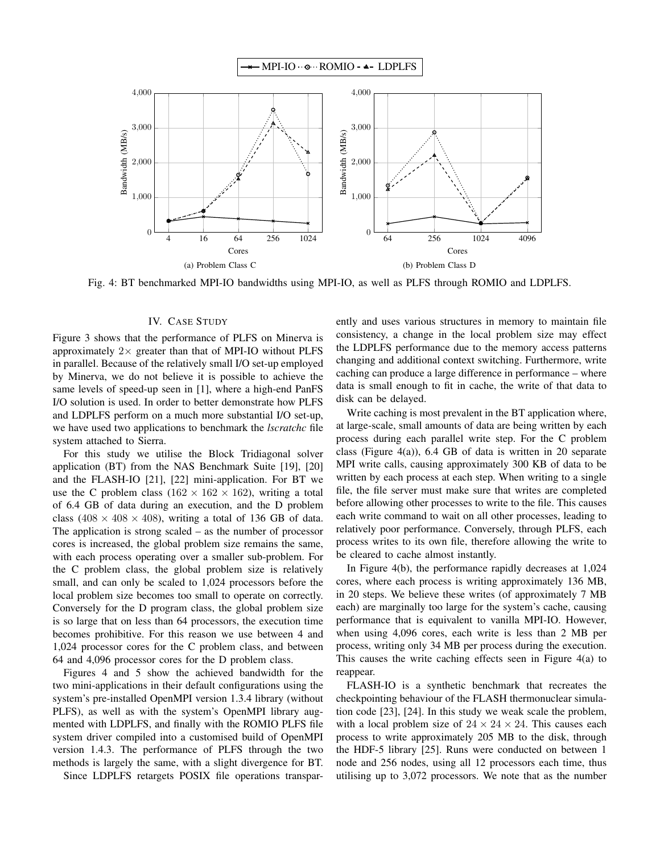

Fig. 4: BT benchmarked MPI-IO bandwidths using MPI-IO, as well as PLFS through ROMIO and LDPLFS.

#### IV. CASE STUDY

Figure 3 shows that the performance of PLFS on Minerva is approximately  $2 \times$  greater than that of MPI-IO without PLFS in parallel. Because of the relatively small I/O set-up employed by Minerva, we do not believe it is possible to achieve the same levels of speed-up seen in [1], where a high-end PanFS I/O solution is used. In order to better demonstrate how PLFS and LDPLFS perform on a much more substantial I/O set-up, we have used two applications to benchmark the *lscratchc* file system attached to Sierra.

For this study we utilise the Block Tridiagonal solver application (BT) from the NAS Benchmark Suite [19], [20] and the FLASH-IO [21], [22] mini-application. For BT we use the C problem class  $(162 \times 162 \times 162)$ , writing a total of 6.4 GB of data during an execution, and the D problem class (408  $\times$  408  $\times$  408), writing a total of 136 GB of data. The application is strong scaled – as the number of processor cores is increased, the global problem size remains the same, with each process operating over a smaller sub-problem. For the C problem class, the global problem size is relatively small, and can only be scaled to 1,024 processors before the local problem size becomes too small to operate on correctly. Conversely for the D program class, the global problem size is so large that on less than 64 processors, the execution time becomes prohibitive. For this reason we use between 4 and 1,024 processor cores for the C problem class, and between 64 and 4,096 processor cores for the D problem class.

Figures 4 and 5 show the achieved bandwidth for the two mini-applications in their default configurations using the system's pre-installed OpenMPI version 1.3.4 library (without PLFS), as well as with the system's OpenMPI library augmented with LDPLFS, and finally with the ROMIO PLFS file system driver compiled into a customised build of OpenMPI version 1.4.3. The performance of PLFS through the two methods is largely the same, with a slight divergence for BT.

Since LDPLFS retargets POSIX file operations transpar-

ently and uses various structures in memory to maintain file consistency, a change in the local problem size may effect the LDPLFS performance due to the memory access patterns changing and additional context switching. Furthermore, write caching can produce a large difference in performance – where data is small enough to fit in cache, the write of that data to disk can be delayed.

Write caching is most prevalent in the BT application where, at large-scale, small amounts of data are being written by each process during each parallel write step. For the C problem class (Figure 4(a)),  $6.4$  GB of data is written in 20 separate MPI write calls, causing approximately 300 KB of data to be written by each process at each step. When writing to a single file, the file server must make sure that writes are completed before allowing other processes to write to the file. This causes each write command to wait on all other processes, leading to relatively poor performance. Conversely, through PLFS, each process writes to its own file, therefore allowing the write to be cleared to cache almost instantly.

In Figure 4(b), the performance rapidly decreases at 1,024 cores, where each process is writing approximately 136 MB, in 20 steps. We believe these writes (of approximately 7 MB each) are marginally too large for the system's cache, causing performance that is equivalent to vanilla MPI-IO. However, when using 4,096 cores, each write is less than 2 MB per process, writing only 34 MB per process during the execution. This causes the write caching effects seen in Figure 4(a) to reappear.

FLASH-IO is a synthetic benchmark that recreates the checkpointing behaviour of the FLASH thermonuclear simulation code [23], [24]. In this study we weak scale the problem, with a local problem size of  $24 \times 24 \times 24$ . This causes each process to write approximately 205 MB to the disk, through the HDF-5 library [25]. Runs were conducted on between 1 node and 256 nodes, using all 12 processors each time, thus utilising up to 3,072 processors. We note that as the number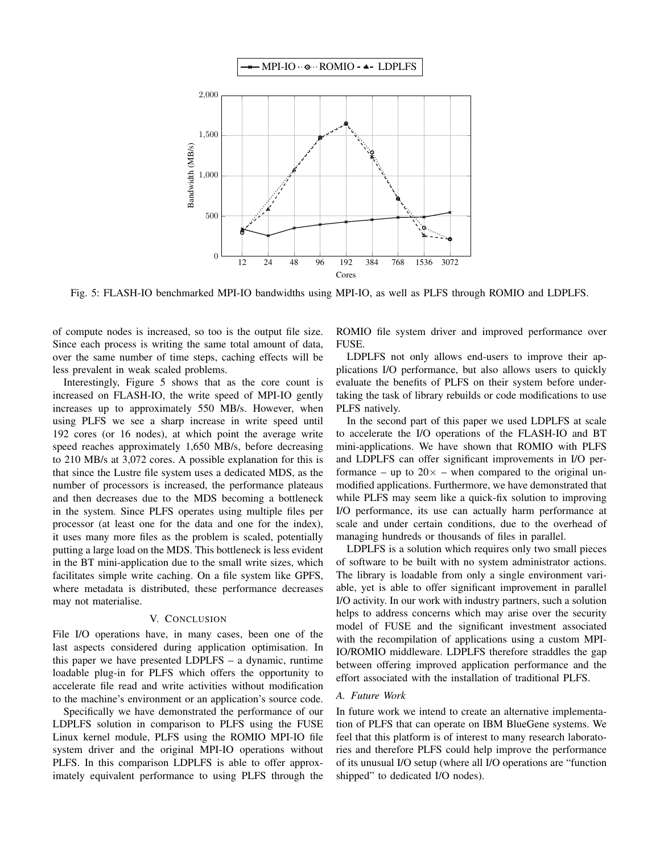

Fig. 5: FLASH-IO benchmarked MPI-IO bandwidths using MPI-IO, as well as PLFS through ROMIO and LDPLFS.

of compute nodes is increased, so too is the output file size. Since each process is writing the same total amount of data, over the same number of time steps, caching effects will be less prevalent in weak scaled problems.

Interestingly, Figure 5 shows that as the core count is increased on FLASH-IO, the write speed of MPI-IO gently increases up to approximately 550 MB/s. However, when using PLFS we see a sharp increase in write speed until 192 cores (or 16 nodes), at which point the average write speed reaches approximately 1,650 MB/s, before decreasing to 210 MB/s at 3,072 cores. A possible explanation for this is that since the Lustre file system uses a dedicated MDS, as the number of processors is increased, the performance plateaus and then decreases due to the MDS becoming a bottleneck in the system. Since PLFS operates using multiple files per processor (at least one for the data and one for the index), it uses many more files as the problem is scaled, potentially putting a large load on the MDS. This bottleneck is less evident in the BT mini-application due to the small write sizes, which facilitates simple write caching. On a file system like GPFS, where metadata is distributed, these performance decreases may not materialise.

#### V. CONCLUSION

File I/O operations have, in many cases, been one of the last aspects considered during application optimisation. In this paper we have presented LDPLFS – a dynamic, runtime loadable plug-in for PLFS which offers the opportunity to accelerate file read and write activities without modification to the machine's environment or an application's source code.

Specifically we have demonstrated the performance of our LDPLFS solution in comparison to PLFS using the FUSE Linux kernel module, PLFS using the ROMIO MPI-IO file system driver and the original MPI-IO operations without PLFS. In this comparison LDPLFS is able to offer approximately equivalent performance to using PLFS through the ROMIO file system driver and improved performance over FUSE.

LDPLFS not only allows end-users to improve their applications I/O performance, but also allows users to quickly evaluate the benefits of PLFS on their system before undertaking the task of library rebuilds or code modifications to use PLFS natively.

In the second part of this paper we used LDPLFS at scale to accelerate the I/O operations of the FLASH-IO and BT mini-applications. We have shown that ROMIO with PLFS and LDPLFS can offer significant improvements in I/O performance – up to  $20 \times$  – when compared to the original unmodified applications. Furthermore, we have demonstrated that while PLFS may seem like a quick-fix solution to improving I/O performance, its use can actually harm performance at scale and under certain conditions, due to the overhead of managing hundreds or thousands of files in parallel.

LDPLFS is a solution which requires only two small pieces of software to be built with no system administrator actions. The library is loadable from only a single environment variable, yet is able to offer significant improvement in parallel I/O activity. In our work with industry partners, such a solution helps to address concerns which may arise over the security model of FUSE and the significant investment associated with the recompilation of applications using a custom MPI-IO/ROMIO middleware. LDPLFS therefore straddles the gap between offering improved application performance and the effort associated with the installation of traditional PLFS.

## *A. Future Work*

In future work we intend to create an alternative implementation of PLFS that can operate on IBM BlueGene systems. We feel that this platform is of interest to many research laboratories and therefore PLFS could help improve the performance of its unusual I/O setup (where all I/O operations are "function shipped" to dedicated I/O nodes).